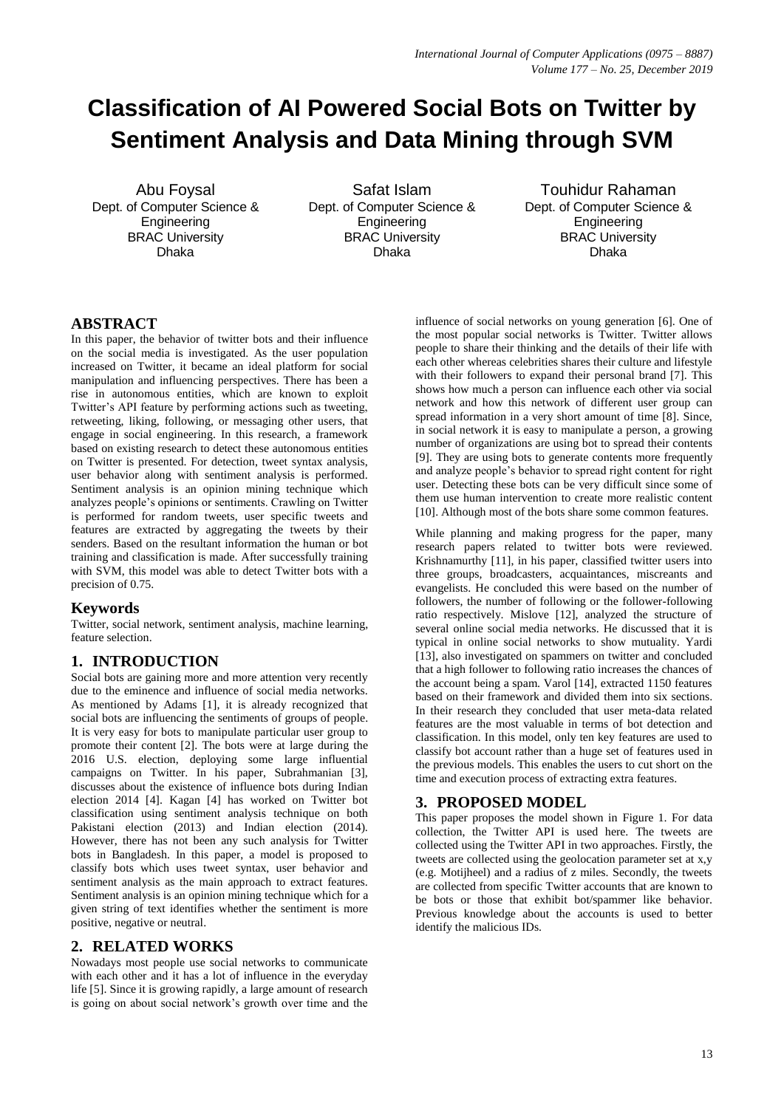# **Classification of AI Powered Social Bots on Twitter by Sentiment Analysis and Data Mining through SVM**

Abu Foysal Dept. of Computer Science & **Engineering** BRAC University Dhaka

Safat Islam Dept. of Computer Science & **Engineering** BRAC University Dhaka

Touhidur Rahaman Dept. of Computer Science & Engineering BRAC University Dhaka

# **ABSTRACT**

In this paper, the behavior of twitter bots and their influence on the social media is investigated. As the user population increased on Twitter, it became an ideal platform for social manipulation and influencing perspectives. There has been a rise in autonomous entities, which are known to exploit Twitter's API feature by performing actions such as tweeting, retweeting, liking, following, or messaging other users, that engage in social engineering. In this research, a framework based on existing research to detect these autonomous entities on Twitter is presented. For detection, tweet syntax analysis, user behavior along with sentiment analysis is performed. Sentiment analysis is an opinion mining technique which analyzes people's opinions or sentiments. Crawling on Twitter is performed for random tweets, user specific tweets and features are extracted by aggregating the tweets by their senders. Based on the resultant information the human or bot training and classification is made. After successfully training with SVM, this model was able to detect Twitter bots with a precision of 0.75.

## **Keywords**

Twitter, social network, sentiment analysis, machine learning, feature selection.

# **1. INTRODUCTION**

Social bots are gaining more and more attention very recently due to the eminence and influence of social media networks. As mentioned by Adams [1], it is already recognized that social bots are influencing the sentiments of groups of people. It is very easy for bots to manipulate particular user group to promote their content [2]. The bots were at large during the 2016 U.S. election, deploying some large influential campaigns on Twitter. In his paper, Subrahmanian [3], discusses about the existence of influence bots during Indian election 2014 [4]. Kagan [4] has worked on Twitter bot classification using sentiment analysis technique on both Pakistani election (2013) and Indian election (2014). However, there has not been any such analysis for Twitter bots in Bangladesh. In this paper, a model is proposed to classify bots which uses tweet syntax, user behavior and sentiment analysis as the main approach to extract features. Sentiment analysis is an opinion mining technique which for a given string of text identifies whether the sentiment is more positive, negative or neutral.

# **2. RELATED WORKS**

Nowadays most people use social networks to communicate with each other and it has a lot of influence in the everyday life [5]. Since it is growing rapidly, a large amount of research is going on about social network's growth over time and the

influence of social networks on young generation [6]. One of the most popular social networks is Twitter. Twitter allows people to share their thinking and the details of their life with each other whereas celebrities shares their culture and lifestyle with their followers to expand their personal brand [7]. This shows how much a person can influence each other via social network and how this network of different user group can spread information in a very short amount of time [8]. Since, in social network it is easy to manipulate a person, a growing number of organizations are using bot to spread their contents [9]. They are using bots to generate contents more frequently and analyze people's behavior to spread right content for right user. Detecting these bots can be very difficult since some of them use human intervention to create more realistic content [10]. Although most of the bots share some common features.

While planning and making progress for the paper, many research papers related to twitter bots were reviewed. Krishnamurthy [11], in his paper, classified twitter users into three groups, broadcasters, acquaintances, miscreants and evangelists. He concluded this were based on the number of followers, the number of following or the follower-following ratio respectively. Mislove [12], analyzed the structure of several online social media networks. He discussed that it is typical in online social networks to show mutuality. Yardi [13], also investigated on spammers on twitter and concluded that a high follower to following ratio increases the chances of the account being a spam. Varol [14], extracted 1150 features based on their framework and divided them into six sections. In their research they concluded that user meta-data related features are the most valuable in terms of bot detection and classification. In this model, only ten key features are used to classify bot account rather than a huge set of features used in the previous models. This enables the users to cut short on the time and execution process of extracting extra features.

# **3. PROPOSED MODEL**

This paper proposes the model shown in Figure 1. For data collection, the Twitter API is used here. The tweets are collected using the Twitter API in two approaches. Firstly, the tweets are collected using the geolocation parameter set at x,y (e.g. Motijheel) and a radius of z miles. Secondly, the tweets are collected from specific Twitter accounts that are known to be bots or those that exhibit bot/spammer like behavior. Previous knowledge about the accounts is used to better identify the malicious IDs.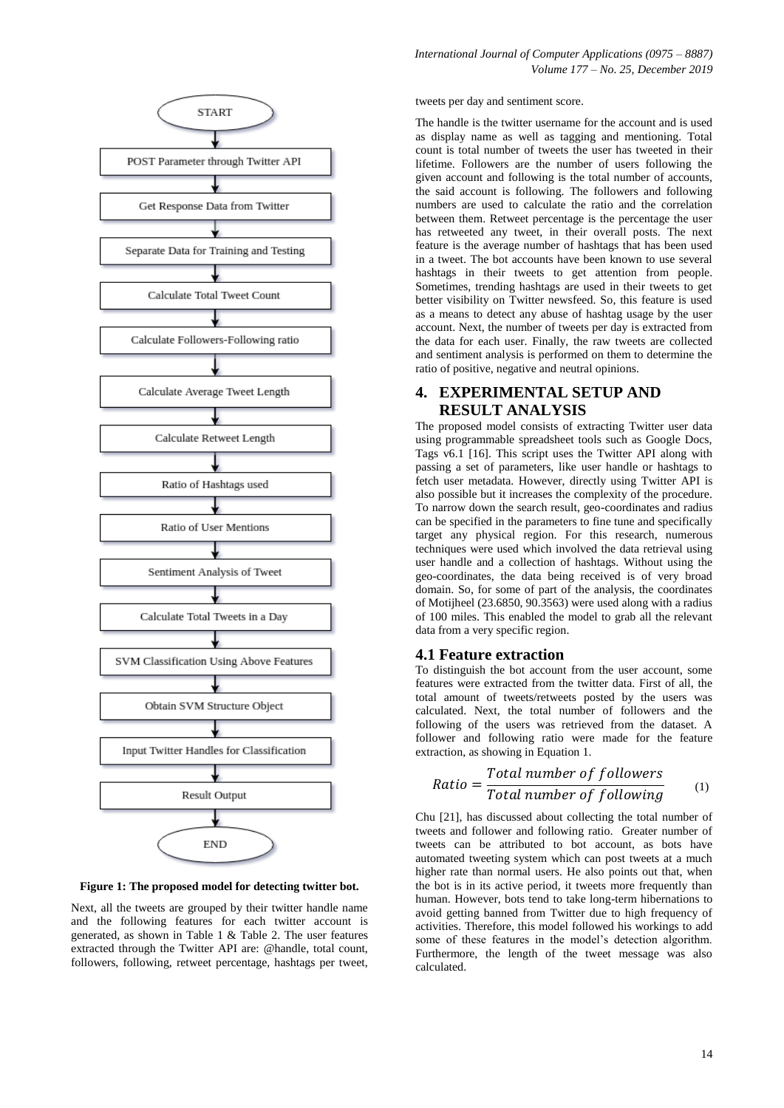

**Figure 1: The proposed model for detecting twitter bot.**

Next, all the tweets are grouped by their twitter handle name and the following features for each twitter account is generated, as shown in Table 1 & Table 2. The user features extracted through the Twitter API are: @handle, total count, followers, following, retweet percentage, hashtags per tweet, tweets per day and sentiment score.

The handle is the twitter username for the account and is used as display name as well as tagging and mentioning. Total count is total number of tweets the user has tweeted in their lifetime. Followers are the number of users following the given account and following is the total number of accounts, the said account is following. The followers and following numbers are used to calculate the ratio and the correlation between them. Retweet percentage is the percentage the user has retweeted any tweet, in their overall posts. The next feature is the average number of hashtags that has been used in a tweet. The bot accounts have been known to use several hashtags in their tweets to get attention from people. Sometimes, trending hashtags are used in their tweets to get better visibility on Twitter newsfeed. So, this feature is used as a means to detect any abuse of hashtag usage by the user account. Next, the number of tweets per day is extracted from the data for each user. Finally, the raw tweets are collected and sentiment analysis is performed on them to determine the ratio of positive, negative and neutral opinions.

## **4. EXPERIMENTAL SETUP AND RESULT ANALYSIS**

The proposed model consists of extracting Twitter user data using programmable spreadsheet tools such as Google Docs, Tags v6.1 [16]. This script uses the Twitter API along with passing a set of parameters, like user handle or hashtags to fetch user metadata. However, directly using Twitter API is also possible but it increases the complexity of the procedure. To narrow down the search result, geo-coordinates and radius can be specified in the parameters to fine tune and specifically target any physical region. For this research, numerous techniques were used which involved the data retrieval using user handle and a collection of hashtags. Without using the geo-coordinates, the data being received is of very broad domain. So, for some of part of the analysis, the coordinates of Motijheel (23.6850, 90.3563) were used along with a radius of 100 miles. This enabled the model to grab all the relevant data from a very specific region.

## **4.1 Feature extraction**

To distinguish the bot account from the user account, some features were extracted from the twitter data. First of all, the total amount of tweets/retweets posted by the users was calculated. Next, the total number of followers and the following of the users was retrieved from the dataset. A follower and following ratio were made for the feature extraction, as showing in Equation 1.

$$
Ratio = \frac{Total\ number\ of\ follows}{Total\ number\ of\ following} \tag{1}
$$

Chu [21], has discussed about collecting the total number of tweets and follower and following ratio. Greater number of tweets can be attributed to bot account, as bots have automated tweeting system which can post tweets at a much higher rate than normal users. He also points out that, when the bot is in its active period, it tweets more frequently than human. However, bots tend to take long-term hibernations to avoid getting banned from Twitter due to high frequency of activities. Therefore, this model followed his workings to add some of these features in the model's detection algorithm. Furthermore, the length of the tweet message was also calculated.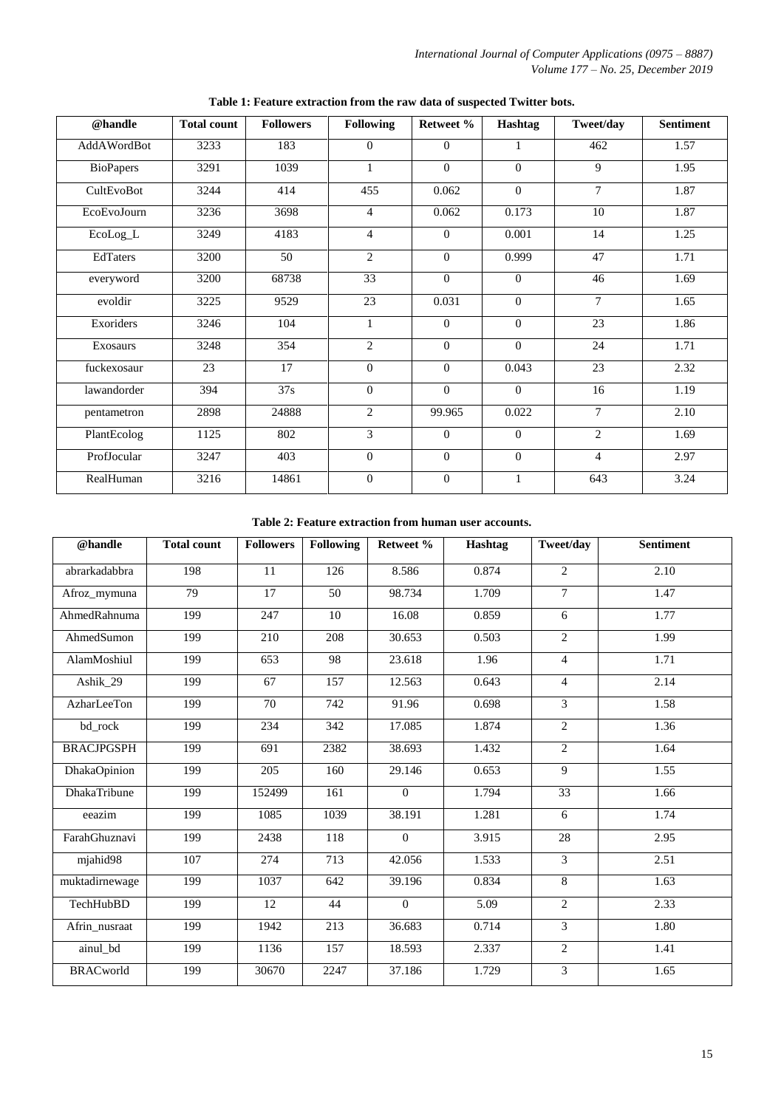*International Journal of Computer Applications (0975 – 8887) Volume 177 – No. 25, December 2019*

| @handle          | <b>Total count</b> | <b>Followers</b> | <b>Following</b> | Retweet %      | Hashtag        | Tweet/day      | <b>Sentiment</b> |
|------------------|--------------------|------------------|------------------|----------------|----------------|----------------|------------------|
| AddAWordBot      | 3233               | 183              | $\Omega$         | $\Omega$       | 1              | 462            | 1.57             |
| <b>BioPapers</b> | 3291               | 1039             | $\mathbf{1}$     | $\theta$       | $\Omega$       | 9              | 1.95             |
| CultEvoBot       | 3244               | 414              | 455              | 0.062          | $\Omega$       | $\tau$         | 1.87             |
| EcoEvoJourn      | 3236               | 3698             | $\overline{4}$   | 0.062          | 0.173          | 10             | 1.87             |
| EcoLog_L         | 3249               | 4183             | 4                | $\overline{0}$ | 0.001          | 14             | 1.25             |
| EdTaters         | 3200               | 50               | $\overline{2}$   | $\overline{0}$ | 0.999          | 47             | 1.71             |
| everyword        | 3200               | 68738            | 33               | $\theta$       | $\Omega$       | 46             | 1.69             |
| evoldir          | 3225               | 9529             | 23               | 0.031          | $\Omega$       | $\overline{7}$ | 1.65             |
| Exoriders        | 3246               | 104              | $\mathbf{1}$     | $\overline{0}$ | $\mathbf{0}$   | 23             | 1.86             |
| Exosaurs         | 3248               | 354              | $\overline{2}$   | $\Omega$       | $\mathbf{0}$   | 24             | 1.71             |
| fuckexosaur      | 23                 | 17               | $\Omega$         | $\overline{0}$ | 0.043          | 23             | 2.32             |
| lawandorder      | 394                | 37s              | $\Omega$         | $\theta$       | $\theta$       | 16             | 1.19             |
| pentametron      | 2898               | 24888            | $\overline{2}$   | 99.965         | 0.022          | $\tau$         | 2.10             |
| PlantEcolog      | 1125               | 802              | 3                | $\theta$       | $\mathbf{0}$   | $\overline{c}$ | 1.69             |
| ProfJocular      | 3247               | 403              | $\overline{0}$   | $\overline{0}$ | $\overline{0}$ | $\overline{4}$ | 2.97             |
| RealHuman        | 3216               | 14861            | $\overline{0}$   | $\overline{0}$ | $\mathbf{1}$   | 643            | 3.24             |

**Table 1: Feature extraction from the raw data of suspected Twitter bots.**

### **Table 2: Feature extraction from human user accounts.**

| @handle           | <b>Total count</b> | <b>Followers</b> | <b>Following</b> | Retweet % | Hashtag | Tweet/day      | <b>Sentiment</b> |
|-------------------|--------------------|------------------|------------------|-----------|---------|----------------|------------------|
| abrarkadabbra     | 198                | 11               | 126              | 8.586     | 0.874   | $\overline{2}$ | 2.10             |
| Afroz_mymuna      | 79                 | 17               | 50               | 98.734    | 1.709   | $\tau$         | 1.47             |
| AhmedRahnuma      | 199                | 247              | 10               | 16.08     | 0.859   | 6              | 1.77             |
| AhmedSumon        | 199                | 210              | 208              | 30.653    | 0.503   | $\overline{2}$ | 1.99             |
| AlamMoshiul       | 199                | 653              | 98               | 23.618    | 1.96    | $\overline{4}$ | 1.71             |
| Ashik_29          | 199                | 67               | 157              | 12.563    | 0.643   | $\overline{4}$ | 2.14             |
| AzharLeeTon       | 199                | 70               | 742              | 91.96     | 0.698   | 3              | 1.58             |
| bd_rock           | 199                | 234              | 342              | 17.085    | 1.874   | $\overline{2}$ | 1.36             |
| <b>BRACJPGSPH</b> | 199                | 691              | 2382             | 38.693    | 1.432   | $\overline{2}$ | 1.64             |
| DhakaOpinion      | 199                | 205              | 160              | 29.146    | 0.653   | 9              | 1.55             |
| DhakaTribune      | 199                | 152499           | 161              | $\Omega$  | 1.794   | 33             | 1.66             |
| eeazim            | 199                | 1085             | 1039             | 38.191    | 1.281   | 6              | 1.74             |
| FarahGhuznavi     | 199                | 2438             | 118              | $\theta$  | 3.915   | 28             | 2.95             |
| mjahid98          | 107                | 274              | 713              | 42.056    | 1.533   | 3              | 2.51             |
| muktadirnewage    | 199                | 1037             | 642              | 39.196    | 0.834   | 8              | 1.63             |
| TechHubBD         | 199                | 12               | 44               | $\Omega$  | 5.09    | $\overline{2}$ | 2.33             |
| Afrin nusraat     | 199                | 1942             | 213              | 36.683    | 0.714   | $\overline{3}$ | 1.80             |
| ainul_bd          | 199                | 1136             | 157              | 18.593    | 2.337   | $\overline{2}$ | 1.41             |
| <b>BRACworld</b>  | 199                | 30670            | 2247             | 37.186    | 1.729   | 3              | 1.65             |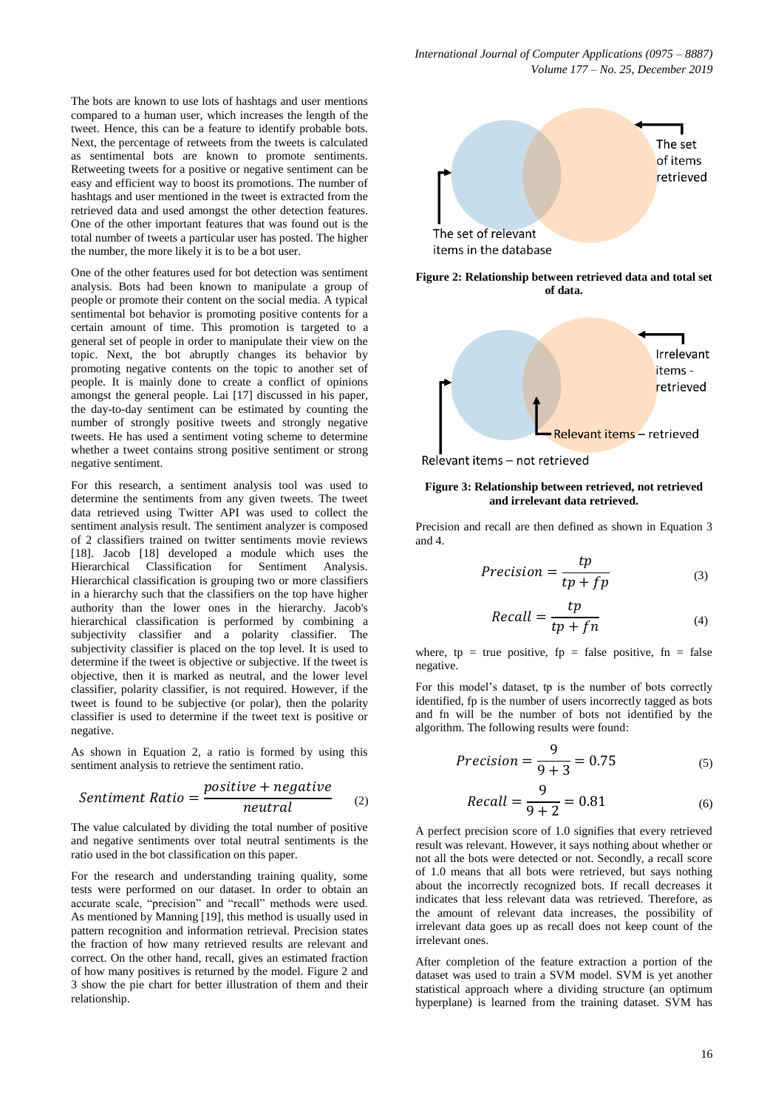The bots are known to use lots of hashtags and user mentions compared to a human user, which increases the length of the tweet. Hence, this can be a feature to identify probable bots. Next, the percentage of retweets from the tweets is calculated as sentimental bots are known to promote sentiments. Retweeting tweets for a positive or negative sentiment can be easy and efficient way to boost its promotions. The number of hashtags and user mentioned in the tweet is extracted from the retrieved data and used amongst the other detection features. One of the other important features that was found out is the total number of tweets a particular user has posted. The higher the number, the more likely it is to be a bot user.

One of the other features used for bot detection was sentiment analysis. Bots had been known to manipulate a group of people or promote their content on the social media. A typical sentimental bot behavior is promoting positive contents for a certain amount of time. This promotion is targeted to a general set of people in order to manipulate their view on the topic. Next, the bot abruptly changes its behavior by promoting negative contents on the topic to another set of people. It is mainly done to create a conflict of opinions amongst the general people. Lai [17] discussed in his paper, the day-to-day sentiment can be estimated by counting the number of strongly positive tweets and strongly negative tweets. He has used a sentiment voting scheme to determine whether a tweet contains strong positive sentiment or strong negative sentiment.

For this research, a sentiment analysis tool was used to determine the sentiments from any given tweets. The tweet data retrieved using Twitter API was used to collect the sentiment analysis result. The sentiment analyzer is composed of 2 classifiers trained on twitter sentiments movie reviews [18]. Jacob [18] developed a module which uses the Hierarchical Classification for Sentiment Analysis. Hierarchical classification is grouping two or more classifiers in a hierarchy such that the classifiers on the top have higher authority than the lower ones in the hierarchy. Jacob's hierarchical classification is performed by combining a subjectivity classifier and a polarity classifier. The subjectivity classifier is placed on the top level. It is used to determine if the tweet is objective or subjective. If the tweet is objective, then it is marked as neutral, and the lower level classifier, polarity classifier, is not required. However, if the tweet is found to be subjective (or polar), then the polarity classifier is used to determine if the tweet text is positive or negative.

As shown in Equation 2, a ratio is formed by using this sentiment analysis to retrieve the sentiment ratio.

*Sentiment Ratio* = 
$$
\frac{positive + negative}{neutral}
$$
 (2)

The value calculated by dividing the total number of positive and negative sentiments over total neutral sentiments is the ratio used in the bot classification on this paper.

For the research and understanding training quality, some tests were performed on our dataset. In order to obtain an accurate scale, "precision" and "recall" methods were used. As mentioned by Manning [19], this method is usually used in pattern recognition and information retrieval. Precision states the fraction of how many retrieved results are relevant and correct. On the other hand, recall, gives an estimated fraction of how many positives is returned by the model. Figure 2 and 3 show the pie chart for better illustration of them and their relationship.



**Figure 2: Relationship between retrieved data and total set of data.**



Relevant items - not retrieved

#### **Figure 3: Relationship between retrieved, not retrieved and irrelevant data retrieved.**

Precision and recall are then defined as shown in Equation 3 and 4.

$$
Precision = \frac{tp}{tp + fp} \tag{3}
$$

$$
Recall = \frac{tp}{tp + fn} \tag{4}
$$

where,  $tp = true positive$ ,  $fp = false positive$ ,  $fn = false$ negative.

For this model's dataset, tp is the number of bots correctly identified, fp is the number of users incorrectly tagged as bots and fn will be the number of bots not identified by the algorithm. The following results were found:

$$
Precision = \frac{9}{9+3} = 0.75
$$
 (5)

$$
Recall = \frac{9}{9+2} = 0.81\tag{6}
$$

A perfect precision score of 1.0 signifies that every retrieved result was relevant. However, it says nothing about whether or not all the bots were detected or not. Secondly, a recall score of 1.0 means that all bots were retrieved, but says nothing about the incorrectly recognized bots. If recall decreases it indicates that less relevant data was retrieved. Therefore, as the amount of relevant data increases, the possibility of irrelevant data goes up as recall does not keep count of the irrelevant ones.

After completion of the feature extraction a portion of the dataset was used to train a SVM model. SVM is yet another statistical approach where a dividing structure (an optimum hyperplane) is learned from the training dataset. SVM has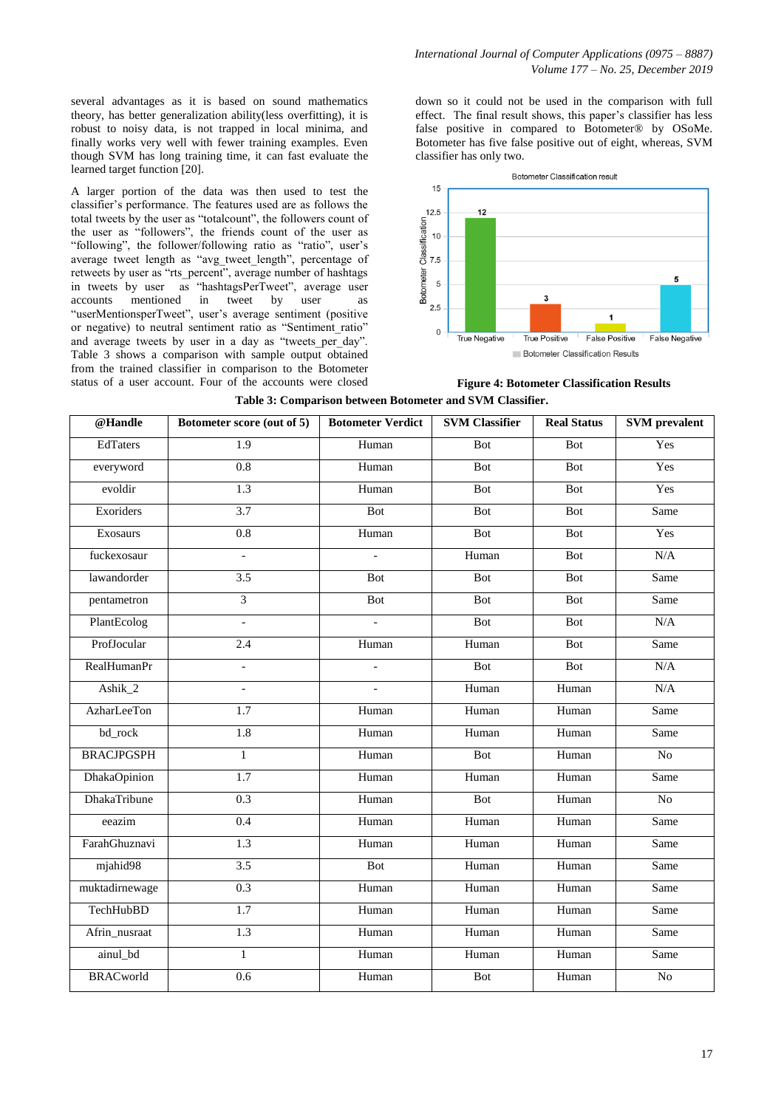several advantages as it is based on sound mathematics theory, has better generalization ability(less overfitting), it is robust to noisy data, is not trapped in local minima, and finally works very well with fewer training examples. Even though SVM has long training time, it can fast evaluate the learned target function [20].

A larger portion of the data was then used to test the classifier's performance. The features used are as follows the total tweets by the user as "totalcount", the followers count of the user as "followers", the friends count of the user as "following", the follower/following ratio as "ratio", user's average tweet length as "avg\_tweet\_length", percentage of retweets by user as "rts\_percent", average number of hashtags in tweets by user as "hashtagsPerTweet", average user accounts mentioned in tweet by user as "userMentionsperTweet", user's average sentiment (positive or negative) to neutral sentiment ratio as "Sentiment\_ratio" and average tweets by user in a day as "tweets per day". Table 3 shows a comparison with sample output obtained from the trained classifier in comparison to the Botometer status of a user account. Four of the accounts were closed

down so it could not be used in the comparison with full effect. The final result shows, this paper's classifier has less false positive in compared to Botometer® by OSoMe. Botometer has five false positive out of eight, whereas, SVM classifier has only two.



**Figure 4: Botometer Classification Results**

| @Handle            | Botometer score (out of 5) | <b>Botometer Verdict</b> | <b>SVM Classifier</b> | <b>Real Status</b> | <b>SVM</b> prevalent |
|--------------------|----------------------------|--------------------------|-----------------------|--------------------|----------------------|
| <b>EdTaters</b>    | 1.9                        | Human                    | <b>Bot</b>            | Bot                | Yes                  |
| everyword          | 0.8                        | Human                    | <b>Bot</b>            | <b>Bot</b>         | Yes                  |
| evoldir            | 1.3                        | Human                    | Bot                   | Bot                | Yes                  |
| Exoriders          | 3.7                        | <b>Bot</b>               | <b>Bot</b>            | Bot                | Same                 |
| Exosaurs           | 0.8                        | Human                    | Bot                   | Bot                | Yes                  |
| fuckexosaur        | $\overline{a}$             |                          | Human                 | Bot                | N/A                  |
| lawandorder        | $\overline{3.5}$           | Bot                      | Bot                   | Bot                | Same                 |
| pentametron        | $\overline{3}$             | Bot                      | Bot                   | Bot                | Same                 |
| PlantEcolog        | $\overline{\phantom{a}}$   | $\mathbf{r}$             | Bot                   | Bot                | N/A                  |
| ProfJocular        | 2.4                        | Human                    | Human                 | Bot                | Same                 |
| <b>RealHumanPr</b> | $\overline{\phantom{0}}$   |                          | Bot                   | Bot                | N/A                  |
| Ashik_2            | $\overline{\phantom{a}}$   | $\mathbf{r}$             | Human                 | Human              | N/A                  |
| AzharLeeTon        | 1.7                        | Human                    | Human                 | Human              | Same                 |
| bd_rock            | $\overline{1.8}$           | Human                    | Human                 | Human              | Same                 |
| <b>BRACJPGSPH</b>  | $\mathbf{1}$               | Human                    | Bot                   | Human              | No                   |
| DhakaOpinion       | $\overline{1.7}$           | Human                    | Human                 | Human              | Same                 |
| DhakaTribune       | 0.3                        | Human                    | Bot                   | Human              | No                   |
| eeazim             | $\overline{0.4}$           | Human                    | Human                 | Human              | Same                 |
| FarahGhuznavi      | 1.3                        | Human                    | Human                 | Human              | Same                 |
| mjahid98           | $\overline{3.5}$           | Bot                      | Human                 | Human              | Same                 |
| muktadirnewage     | 0.3                        | Human                    | Human                 | Human              | Same                 |
| TechHubBD          | $\overline{1.7}$           | Human                    | Human                 | Human              | Same                 |
| Afrin_nusraat      | 1.3                        | Human                    | Human                 | Human              | Same                 |
| ainul_bd           | $\mathbf{1}$               | Human                    | Human                 | Human              | Same                 |
| <b>BRACworld</b>   | 0.6                        | Human                    | <b>Bot</b>            | Human              | $\overline{No}$      |

**Table 3: Comparison between Botometer and SVM Classifier.**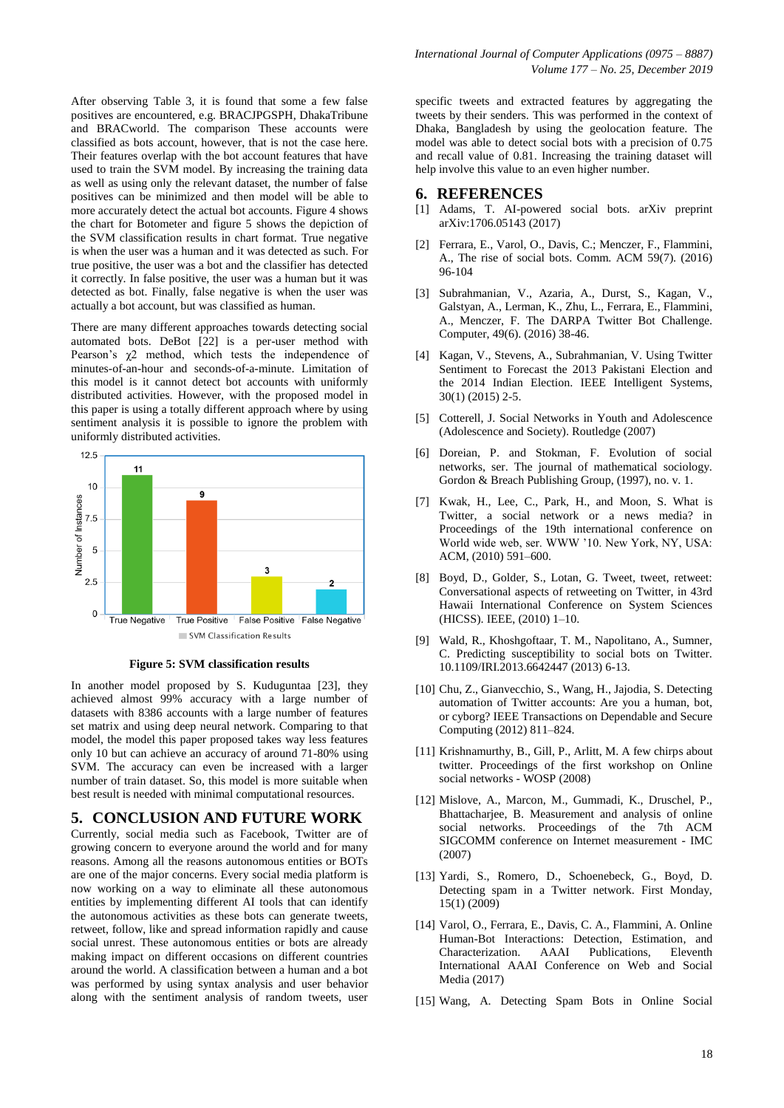After observing Table 3, it is found that some a few false positives are encountered, e.g. BRACJPGSPH, DhakaTribune and BRACworld. The comparison These accounts were classified as bots account, however, that is not the case here. Their features overlap with the bot account features that have used to train the SVM model. By increasing the training data as well as using only the relevant dataset, the number of false positives can be minimized and then model will be able to more accurately detect the actual bot accounts. Figure 4 shows the chart for Botometer and figure 5 shows the depiction of the SVM classification results in chart format. True negative is when the user was a human and it was detected as such. For true positive, the user was a bot and the classifier has detected it correctly. In false positive, the user was a human but it was detected as bot. Finally, false negative is when the user was actually a bot account, but was classified as human.

There are many different approaches towards detecting social automated bots. DeBot [22] is a per-user method with Pearson's  $\chi$ 2 method, which tests the independence of minutes-of-an-hour and seconds-of-a-minute. Limitation of this model is it cannot detect bot accounts with uniformly distributed activities. However, with the proposed model in this paper is using a totally different approach where by using sentiment analysis it is possible to ignore the problem with uniformly distributed activities.



**Figure 5: SVM classification results**

In another model proposed by S. Kuduguntaa [23], they achieved almost 99% accuracy with a large number of datasets with 8386 accounts with a large number of features set matrix and using deep neural network. Comparing to that model, the model this paper proposed takes way less features only 10 but can achieve an accuracy of around 71-80% using SVM. The accuracy can even be increased with a larger number of train dataset. So, this model is more suitable when best result is needed with minimal computational resources.

### **5. CONCLUSION AND FUTURE WORK**

Currently, social media such as Facebook, Twitter are of growing concern to everyone around the world and for many reasons. Among all the reasons autonomous entities or BOTs are one of the major concerns. Every social media platform is now working on a way to eliminate all these autonomous entities by implementing different AI tools that can identify the autonomous activities as these bots can generate tweets, retweet, follow, like and spread information rapidly and cause social unrest. These autonomous entities or bots are already making impact on different occasions on different countries around the world. A classification between a human and a bot was performed by using syntax analysis and user behavior along with the sentiment analysis of random tweets, user

specific tweets and extracted features by aggregating the tweets by their senders. This was performed in the context of Dhaka, Bangladesh by using the geolocation feature. The model was able to detect social bots with a precision of 0.75 and recall value of 0.81. Increasing the training dataset will help involve this value to an even higher number.

#### **6. REFERENCES**

- [1] Adams, T. AI-powered social bots. arXiv preprint arXiv:1706.05143 (2017)
- [2] Ferrara, E., Varol, O., Davis, C.; Menczer, F., Flammini, A., The rise of social bots. Comm. ACM 59(7). (2016) 96-104
- [3] Subrahmanian, V., Azaria, A., Durst, S., Kagan, V., Galstyan, A., Lerman, K., Zhu, L., Ferrara, E., Flammini, A., Menczer, F. The DARPA Twitter Bot Challenge. Computer, 49(6). (2016) 38-46.
- [4] Kagan, V., Stevens, A., Subrahmanian, V. Using Twitter Sentiment to Forecast the 2013 Pakistani Election and the 2014 Indian Election. IEEE Intelligent Systems, 30(1) (2015) 2-5.
- [5] Cotterell, J. Social Networks in Youth and Adolescence (Adolescence and Society). Routledge (2007)
- [6] Doreian, P. and Stokman, F. Evolution of social networks, ser. The journal of mathematical sociology. Gordon & Breach Publishing Group, (1997), no. v. 1.
- [7] Kwak, H., Lee, C., Park, H., and Moon, S. What is Twitter, a social network or a news media? in Proceedings of the 19th international conference on World wide web, ser. WWW '10. New York, NY, USA: ACM, (2010) 591–600.
- [8] Boyd, D., Golder, S., Lotan, G. Tweet, tweet, retweet: Conversational aspects of retweeting on Twitter, in 43rd Hawaii International Conference on System Sciences (HICSS). IEEE, (2010) 1–10.
- [9] Wald, R., Khoshgoftaar, T. M., Napolitano, A., Sumner, C. Predicting susceptibility to social bots on Twitter. 10.1109/IRI.2013.6642447 (2013) 6-13.
- [10] Chu, Z., Gianvecchio, S., Wang, H., Jajodia, S. Detecting automation of Twitter accounts: Are you a human, bot, or cyborg? IEEE Transactions on Dependable and Secure Computing (2012) 811–824.
- [11] Krishnamurthy, B., Gill, P., Arlitt, M. A few chirps about twitter. Proceedings of the first workshop on Online social networks - WOSP (2008)
- [12] Mislove, A., Marcon, M., Gummadi, K., Druschel, P., Bhattacharjee, B. Measurement and analysis of online social networks. Proceedings of the 7th ACM SIGCOMM conference on Internet measurement - IMC (2007)
- [13] Yardi, S., Romero, D., Schoenebeck, G., Boyd, D. Detecting spam in a Twitter network. First Monday, 15(1) (2009)
- [14] Varol, O., Ferrara, E., Davis, C. A., Flammini, A. Online Human-Bot Interactions: Detection, Estimation, and Characterization. AAAI Publications, Eleventh International AAAI Conference on Web and Social Media (2017)
- [15] Wang, A. Detecting Spam Bots in Online Social